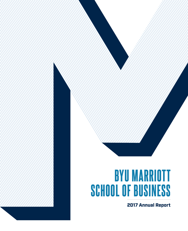# BYU MARRIOTT SCHOOL OF BUSINESS

2017 Annual Report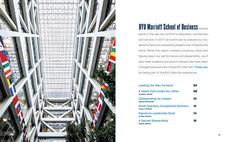**A Talent Pool Unlike** STUDENT REPORT

Collaborating for Impo EDUCATION REPORT

**Great Teachers, Exce** FACULTY REPORT

**Signature Leadershi** ALUMNI REPORT

**A Sacred Stewardship** DONOR REPORT

| rward                    | 02 |
|--------------------------|----|
| <b>Any Other</b>         | 08 |
| pact                     | 10 |
| <b>eptional Scholars</b> | 12 |
| ip Style                 | 14 |
| lip                      | 16 |



# **BYU Marriott School of Business stands** alone in the way we commit to education, scholarship, and service. In 2017 we continued to prepare our students to become outstanding leaders and influence the world. While this report contains numerous facts and figures about our performance and stewardship, you'll also meet students and alumni whose lives have been changed because they chose BYU Marriott. Thank you for being part of the BYU Marriott experience.

# Leading the Way For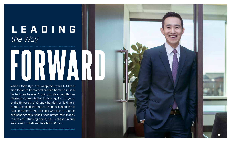# **LEADING** *the Way*

When Ethan Kyo Choi wrapped up his LDS mis sion to South Korea and headed home to Austra lia, he knew he wasn't going to stay long. Before his mission, he'd studied technology for two years at the University of Sydney, but during his time in Korea, he decided to pursue business instead. He had heard that BYU Marriott was one of the top business schools in the United States, so within six months of returning home, he purchased a oneway ticket to Utah and headed to Provo.

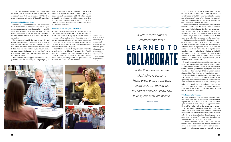"I knew I had a lot to learn about the corporate world and finance, and BYU Marriott was where I learned to be successful," says Choi, who graduated in 2012 with an accounting degree. "Attending BYU was life changing."

## A Talent Pool Unlike Any Other

Like many BYU Marriott students, Choi entered the doors of the Tanner Building with uncommon experience, impressive maturity, and deeply held values. His background as a member of the Church, including his missionary experience, had prepared him to work hard and serve others, and his BYU education built on that foundation.

"Our students bring with them incredible skills and talents that have already been refined to an impressive level," says Michael Thompson, BYU Marriott associate dean. "We'd like to take credit for all that our students do, both here and after graduation, but they are an outstanding group of individuals to begin with. We work to provide an education and experiences to help them reach the next level."

That's certainly what happened to Choi. "At BYU, I gained fundamental knowledge of core principles," he says. "In addition, BYU Marriott created a fertile environment to explore the career I wanted. I got a great education, and I was also able to identify what I wanted to do with that education, so I didn't waste a lot of time jumping from job to job trying to figure that out. The clubs, internships, professors, and mentors all helped me make my decision."

## Great Teachers, Exceptional Scholars

Although Choi graduated with an accounting degree, he realized early in his time at BYU that he didn't want to be an accountant; he was going to pursue a career in management consulting or investment banking, with the ultimate goal of investing in technology companies or even starting one himself someday. He reached that decision, in part, thanks to inspiring professors whom he interacted with on a daily basis.

"I can't begin to name all the professors who influenced me," he says. "Michael Thompson, Doug Prawitt, Kim Smith, and Melissa Larson are only a few who made a difference. The consistency of the quality of their teaching, encouragement, and genuine care for students left a strong impression on me.

*Left, Kim Smith* 



*chats with students, who often drop by to seek his insight; top right, Melissa Larson teaches in the classroom; bottom right, as student body president, Choi participated in an eightieth birthday celebration for J. Willard Marriott Jr., held in the Tanner Building.*

"For example, I remember when Professor Larson was nominated for a Bateman Outstanding Faculty Student Choice award, which I administered as the student council president," he says. "She thought that my email letting her know that she was nominated was fake. Her graciousness and humility was inspiring."

Larson doesn't feel like she does anything different than other professors. "My commitment to teaching and my students' individual development is representative of the school's faculty as a whole," she observes. "Working here is an honor and privilege. To have our faculty strongly supported and encouraged in both research and teaching is unusual in higher education."

It is, however, deliberate. In 2014, Purdue University and the Gallup Poll conducted a survey of approximately 30,000 college students that evaluated the relationship between various college experiences and subsequent success at work and overall life well-being. The survey found that one of the key factors that correlated with success in both work engagement and overall wellbeing was a high-quality relationship with a faculty member. BYU Marriott strives to provide those types of relationships for our students.

Choi enjoyed meaningful relationships with numerous faculty members. At one point while he was preparing for a job interview, Choi dropped by the office of Kim Smith, who had spent twenty-eight years with Goldman Sachs before coming to BYU to serve as managing director of the Peery Institute of Financial Services.

As he talked with Smith, Choi mentioned that he was particularly nervous about a specific aspect of the upcoming interview. Smith contacted a senior-ranked asset manager he knew from his time working in the industry. "He made the intro, and that man spent ten minutes explaining the concept," says Choi, "and he did it because he respected Kim so much. Kim was available whenever we needed him."

## Collaborating for Impact

Working with other BYU students—through clubs, internships, and other collaborative experiences—ranks high on the list of things that set Choi's education apart. "It was through these types of opportunities that I learned from other high-caliber students," he notes.

BYU Marriott's experiential, team-structured curriculum provides students a wide range of opportunities to work collaboratively and participate in business activities prior to graduating. "Creating real-world experiences is crucial for the school," Choi observes. "They have to do it—but they do it so well.

"It was in these types of environments that I learned to collaborate with others, even when we didn't always agree," he continues. "I learned to work across groups faculty, administrators, students—identifying what

*"It was in these types of environments that I* 

# **LEARNED TO** COLLABORATE

*with others even when we didn't always agree. . . . These experiences translated seamlessly as I moved into my career because I knew how to unify and motivate people."*

—ETHAN K. CHOI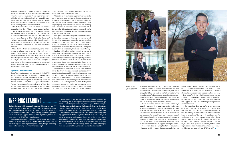INSPIRING LEARNING

By focusing on providing education, scholarship, and service, BYU Marriott strives to offer our students a life-changing experience. BYU president Kevin J Worthen explains it this way: "We inspire our students to learn. And . . . that learning leads to inspiration. then know [that BYU is] on the right track.

"I like to think of inspiring learning as the spark that ignites a student's passion for learning and illuminates a life course," he continues. "Inspiring learning encompasses many things: mentoring, experiential learning, and innovative teaching."

When both things happen, inspiring learning occurs, and we can ing opportunities at BYU," says BYU Marriott dean Lee T. Perry. "We "We embrace President Worthen's call for more inspiring learnstrive to foster an environment that is spiritually strengthening, intellectually enlarging, and character building, leading to lifelong learning and service. Our faculty, staff, and supporters are changing lives as we work to attract, develop, place, and continue to engage men and women of faith, character, and professional ability."





Opportunities for inspiring learning at BYU Marriott are broad and far-reaching. Our students participate in programs such as Cougar Capital, a private equity fund run by second-year MBA students; the Miller Competition Series, one of the largest single-university startup competitions in the nation; and Grantwell, a program that allows students to lead in and work with real nonprofits and foundations.

different stakeholders needed and what they cared about, and then how to meet those needs and provide value for everyone involved. Those experiences were critical and translated seamlessly as I moved into my career because I knew how to unify and motivate people to look beyond immediate satisfaction and instead focus on the greater good for everyone involved."

> Choi's leadership abilities are evident in other ways as well. He works with a local program to mentor high school students, participates regularly in service projects, has helped place BYU alums at Spectrum as well as other firms, and has returned to BYU on several occasions as a mentor himself. "Last year I organized a panel with some other alumni to speak to the private equity and venture capital club," he explains. "I gained so much from those types of interactions when I was there. I want to provide the same kind of support moving forward." In addition, Choi is hoping to start an educationrelated nonprofit. "I was the first college graduate in my as their careers." In the meantime, Choi is grateful for the continued experience he is gaining at Spectrum, including serving on the boards of Lucid Software and PicMonkey, as well as working with Ancestry.com, Headspace, and Prezi, among others. "During my time at Spectrum, I've worked on seven investments and one billion-dollarplus exit and helped invest \$325 million in capital, personally originating more than \$110 million of that," he says. "I have been given the opportunity to take a leading role at the firm. It's been phenomenal, and I know I wouldn't be here today without BYU Marriott."

The students involved on these teams and in these groups inspired Choi. "They were so focused on helping each other, collaborating, working together," he says. "Some of the most effective instruction I received was in these environments; these types of experiences are one of the most powerful differentiators for the school."

Alumni mentors also provide valuable collaborative opportunities; in addition to faculty mentors, each year the school has almost one thousand active alumni mentors.

"That alumni network is incredible," says Choi. "I have friends who have gone to some of the best-known schools in the nation, and they say our alumni network is the strongest they've ever seen. You meet and collaborate with people who make time for you and sacrifice to help you. I've seen it happen over and over again. I have leaned on that network throughout my career, and now I'm thrilled to be part of that network as I look for opportunities to give back."

## Signature Leadership Style

One of the most valuable components of Choi's BYU Marriott education was the abundant opportunities to lead. He served as vice president of training for the management consulting club, as a marketing officer for the BYU Student Association, as a representative to the President's Leadership Council, and as the BYU Marriott student council president. While at BYU Marriott, Choi played an integral role in making several schoolwide

scale operational infrastructure, and expand internationally on their paths to going public or being acquired. Spectrum has a helpful hands-on mentality that I have enjoyed and that has enabled me to learn not only the investing side of a business but also what it takes operationally to scale software and internet companies. We focus on building long-term, sustainable businesses not just investing money and letting it ride."

policy changes, raising money for the annual Sub for Santa drive, and organizing key events.

"These types of leadership opportunities where students can step up and make an impact on others is invaluable," Choi observes. "And those opportunities are all presented with a focus on trying to serve. BYU's challenge of going forth to serve was instilled in everything I did. I learned a lot from the leaders I interacted with at the school and in clubs and in other ways, and I try to always think of myself as a servant. Those experiences I had paid great dividends."

After graduation, Choi accepted an offer to become an investment analyst at Citigroup—an intense, grueling job. After only seven months, he was snatched up by Spectrum Equity, a \$7 billion, tech-focused growth equity firm based in San Francisco that had invested in companies such as Ancestry.com, Grubhub, Headspace, Lucid Software, Lynda.com, Prezi, and SurveyMonkey.

"I've been at the firm for just under five years and have been given amazing opportunities," says Choi. "I started as an associate, where my job was to identify unique entrepreneurs working on compelling products and solutions, network with them, and build relationships to provide the best opportunity for Spectrum to invest. I already had great entrepreneurial contacts from my time at BYU, so that was a great place to start."

Currently a vice president, Choi was promoted rapidly at Spectrum. "I've been fortunate and blessed with opportunities to work with innovative teams and companies," he says. "In my current position, I help lead investments and work with the management teams post-investment to accelerate growth and scale the businesses. We seek to provide valuable strategic and operational support by helping our companies recruit senior executives and world-class board members, define product road maps and company strategies,

family. I funded my own education and worked hard to support my family at the same time," says Choi, who married his wife, Rachel, his first year at BYU. (The couple now have three children, ages seven, four, and one.)

The nonprofit will aim at helping immigrants who are the first in their families to attend college. "Hopefully, we can help provide funding and invaluable guidance and support as they navigate through college as well

*Top left, Choi and his wife, Rachel, and three children.*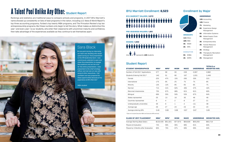# Enrollment by Major

## UNDERGRAD

|  | 13% Accounting |  |
|--|----------------|--|
|--|----------------|--|

- 13% Finance
- 7% Marketing
- **6%** Experience Design Management
- **6%** Information Systems
- **5%** Global Supply Chain Management
- **3%** Entrepreneurship
- **3%** Human Resource Management
- 3% Strategy
- **3%** Therapeutic Recreation Management
- 2% Management



5% EMBA

4% EMPA

# Sara Black

*"At one point during my internship, our team was deciding who would speak during our final presentation to the HR leadership team. I was unanimously selected to open and close the presentation to engage the audience and set the tone for the entire presentation. I also presented to the chief strategy officer and met one-on-one with several other executives. I felt confident and was prepared for these opportunities because of my experience at BYU Marriott."* 

MBA student

# PRE-BUSINESS MAJORS: 1,851 MINORS: 1,600 #################

| <b>STUDENT DEMOGRAPHICS</b>      | <b>MBA</b> * | <b>MPA</b> * | <b>MISM</b> | <b>MACC</b> | <b>UNDERGRAD</b> | <b>TOTALS or</b><br><b>WEIGHTED AVG.</b> |
|----------------------------------|--------------|--------------|-------------|-------------|------------------|------------------------------------------|
| Number of Fall 2017 Applications | 377          | 96           | 93          | 249         | 2,067            | 2,882                                    |
| Students Entering Fall 2017      | 140          | 51           | 60          | 167         | 1,031            | 1,449                                    |
| Female                           | 22%          | 47%          | 15%         | 26%         | 33%              | 31%                                      |
| International                    | 17%          | 6%           | 2%          | 7%          | 7%               | 8%                                       |
| Minority                         | 13%          | 12%          | B%          | 6%          | 6%               | 7%                                       |
| Married                          | 71%          | 41%          | 62%         | 46%         | 37%              | 42%                                      |
| Returned missionaries            | 75%          | 67%          | 88%         | 81%         | 81%              | 80%                                      |
| <b>Bilingual</b>                 | 69%          | 55%          | 50%         | 53%         | 67%              | 64%                                      |
| States represented               | 25           | 13           | 16          | 30          | 46               | 46                                       |
| Countries represented            | я            | 4            | 2           | Я           | 27               | 21                                       |
| Undergraduate universities       | 35           | 9            |             | 2           | n/a              | 38                                       |
| Average age                      | 29           | 27           | 24          | 23          | 23               | 24                                       |
| Average entering GPA             | 3.49         | 3.60         | 3.68        | 3.67        | 3.67             | 3.65                                     |
|                                  |              |              |             |             |                  |                                          |

\* *Does not include Executive MBA and Executive MPA entrants.*

| <b>CLASS OF 2017 PLACEMENT</b>      | <b>MBA</b> * | <b>MPA</b> * | <b>MISM</b> | <b>MACC</b> | UNDERGRAD       | WEIGHTED AVG. |
|-------------------------------------|--------------|--------------|-------------|-------------|-----------------|---------------|
| Average Starting Base Salary        | \$102.435    | \$51.521     | 7.673       | \$56.928    | \$55.293        | \$63.719      |
|                                     |              |              |             |             |                 |               |
| Placed at Graduation                | '4%          | 59%          | 95%         | 98%         | 81 <sup>%</sup> | 83%           |
|                                     |              |              |             |             |                 |               |
| Placed by 3 Months after Graduation | 90%          | 75%          | 97%         | 99%         | 95%             | 94%           |
|                                     |              |              |             |             |                 |               |



# Student Report

# BYU Marriott Enrollment: **6,523**

*One or represents 100 students.*

BYU MARRIOTT MAJORS: 3,072

###########

# A Talent Pool Unlike Any Other: Student Report

Rankings and statistics are traditional ways to compare schools and programs. In 2017 BYU Marriott's name showed up consistently on lists of best programs in the nation, including *U.S. News & World Report*'s top three accounting programs, *Forbes*'s top twenty MBA programs, and The Princeton Review's top ten entrepreneurship programs. But these numbers only begin to tell the story. What makes us distinctive this year—and every year—is our students, who enter their classrooms with uncommon maturity and confidence, then take advantage of the experiences available as they continue to set themselves apart.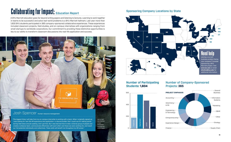*"The biggest thing I will take from my on-campus internship is working with a team. When I originally signed up, I was looking for real-life HR experience and application—a résumé builder that I could use for talking points during interviews and job seeking. And I got that. But I also learned how to take a diverse group of people and create a cohesive team, communicate effectively with each other and those we were working for, and reach our full potential individually and collectively. These skills will benefit me throughout my HR career."* 

the leadership box

# Number of Participating Students: **1,604**



# Collaborating for Impact: Education Report

A BYU Marriott education goes far beyond writing papers and listening to lectures. Learning to work together in teams to be successful and solve real-world problems is a BYU Marriott hallmark. Last year more than 1,600 BYU students participated in 365 company-sponsored collaborative experiences. These experiences included classroom projects, field studies, and on-campus internships with organizations ranging from small startups to worldwide corporations. Our commitment to providing these distinctive opportunities is key to our ability to transform classroom discussions into real-life application and success.

# JOSh Spencer Human resource management



# Sponsoring Company Locations by State

Left to right: Josh Spencer, Jorgen Rasmussen, Ian Anderson, Ashlyn Gagon.

## Number of Company-Sponsored Projects: **365**

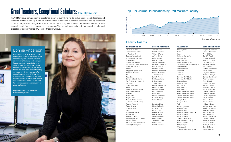# Bonnie Anderson

*"What I enjoy most at BYU Marriott is working with students who are top-notch academically and who also desire to do what is right. During each class, we have a gratitude moment where I set aside time for students—and me—to talk about how we have felt the Lord's hand in our lives. I also focus on bringing my research into the classroom. For example, the work my BYU Marriott colleagues and I are doing to address cybersecurity and online user experience with neuroscience teaches my students how cutting-edge research solves realworld challenges."* 

Department chair and professor, Information Systems

# Top-Tier Journal Publications by BYU Marriott Faculty\*

*Albrecht, W. Steve* James D. Stice *Anderson Foundation* Scott L. Summers *Ardis, Glenn D.* William B. Tayler *Beesley, Horace Pratt* Jeffrey H. Dyer *Brown, Denny L. & Jerri* Hal B. Heaton **Call/Deloitte Brian C. Spilker** *Cherrington, J. Owen* Stephen W. Liddle *Christensen, Don M. & Arda Jean* Michael J. Swenson **Covey, Stephen Mack Gary K. Rhoads Deloitte** Monte R. Swain *Driggs, Douglas & Effie* Bonnie B. Anderson *Edwards, William F.* Grant R. McQueen *EY* T. Jeffrey Wilks *Ford/Cook* Keith P. Vorkink *Garrett, J. Earl & Elaine* Neil R. Lundberg *Hardy, John W. & Nancy S.* F. Greg Burton *Hill, Ned C.* Todd V. Mitton *Jones, Alice Belle* **Kristen B. DeTienne** *KPMG* Kevin D. Stocks *LeRay McAllister/Deloitte* Doulas F. Prawitt *Low, William & Roceil* Paul C. Godfrey *Marriott* Lee T. Perry *Mary & Ellis* Mark F. Zimbelman *Meyer, Fred G.* R. Bruce Money *Norm & Cindy Nemrow Excellence in Teaching Passey, James M.* Barrett A. Slade *Peery, H. Taylor* Steven R. Thorley *Peterson, Joel C.* James C. Brau *PwC* Earl K. Stice *Romney, George W.* **Bradley R. Agle Second Mile Craig B. Merrill Skousen, K. Fred** Steven M. Glover *Sorensen, David E. & Verla A.* Karl B. Diether **Staheli, Donald L.** Thomas S. Foster *Stone, O. Leslie & Dorothy C.* W. Gibb Dyer **Thorsell, Hazel Speirs Scott E. Sampson** 



# Great Teachers, Exceptional Scholars: Faculty Report

At BYU Marriott, a commitment to excellence is part of everything we do, including our faculty teaching and research. While our faculty members publish in the top academic journals, present at leading academic conferences, and are recognized experts in their fields, they also spend a tremendous amount of time mentoring, guiding, and encouraging our students. This commitment to be both a research scholar and exceptional teacher makes BYU Marriott faculty unique.

# PROFESSORSHIP 2017–18 RECIPIENT

*Gregory S. Anderson Alumni* Mathew D. Duerden *Alumni* Ryan S. Elder **David A. Wood Timothy A. Seidel** *Boyer, Selvoy J.* Anthony O. Vance *Brown, Denny L. & Jerri* Colbrin A. Wright *Christensen, Don M. & Arda Jean* Jeffrey P. Dotson *David & Knight* Mark J. Keith *Michael P. Thompson* **Nile W. Hatch** *Ford/Cook* Benjamin C. Iverson *Ford/Cook* James B. Oldroyd **Glenn L. Christensen Peter M. Madsen Ryan D. Pratt** *Goldman Sachs* Taylor D. Nadauld *Grant & David* James E. Gaskin **Bradley P. Owens Eva M. Witesman** *Jones, Warren F. & Alice B.* Curtis D. LeBaron *Jones, Warren F. & Alice B.* Darron M. Billeter *National Advisory Council* David G. Kryscynski *National Advisory Council* Troy R. Nielson *Brian H. Boyer* **Daniel C. Snow Michael S. Drake** *Romney, George W.* Jeffry A. Thompson *Smith, Robert J.* Jacob R. Thornock *Smith, Robert J.* Melissa C. Lewis *Sorensen, David E. & Verla A.* John W. Gardner *Staheli, Donald L.* John B. Bingham **Kristie K. Seawright** *Thorsell, Hazel Speirs* Cynthia J. Wallin *Vest, Kristine V. & Randy J.* Jeffrey L. Jenkins **Steven D. Smith** *White, Georgia* Jeffrey S. Bednar **Shad S. Morris** *Whitman, Robert A. & Wendy* Robert J. Jensen

Cassy J. Budd

| Albrecht, LeAnn                 |
|---------------------------------|
| Alumni                          |
| Alumni                          |
| Anderson Foundation             |
| Ardis, Glenn D.                 |
| Boyer, Selvoy J.                |
| Brown, Denny L. & Jerri         |
| Christensen, Don M. & Arda Jean |
| David & Knight                  |
| Edwards, William F.             |
| Farr, Loran                     |
| Ford/Cook                       |
| Ford/Cook                       |
| Garrett, J. Earl & Elaine       |
| Garrett, J. Earl & Elaine       |
| Goldman Sachs                   |
| Goldman Sachs                   |
| Grant & David                   |
| Grow, Stewart L.                |
| Grow, Stewart L.                |
| Jones, Warren F. & Alice B.     |
| Jones, Warren F. & Alice B.     |
| National Advisory Council       |
| National Advisory Council       |
| Peery, H. Taylor                |
| Perry, Lee Tom                  |
| PwC                             |
| Romney, George W.               |
| Smith, Robert J.                |
| Smith, Robert J.                |
| Sorensen, David E. & Verla A.   |
| Staheli, Donald L.              |
| Staheli, Donald L.              |
| <b>Thorsell, Hazel Speirs</b>   |
| Vest, Kristine V. & Randy J.    |
| Warnick/Deloitte                |
| White, Georgia                  |
| White, Georgia                  |
| Whitman, Robert A. & Wendy      |

## Faculty Awards

## FELLOWSHIP 2017–18 RECIPIENT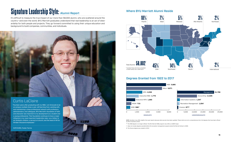# Curtis LaClaire

*"Fourteen years after graduating with my MBA, I am fortunate to be on campus multiple times a year, still learning from, working with, and maintaining a close professional network with professors, administrators, and colleagues. BYU Marriott's foundation of faith and character was important to my development as a student and a young professional. That foundation continues to have a major influence in my most important leadership roles—as a father to six fantastic children, a servant at church, and the head of HR for thirteen thousand employees."* 

SVP/CHRO, Foster Farms

NOTE: *Numbers may differ slightly from past reports because data sources have been updated. These charts are not a comprehensive list of all degrees that have been offered by BYU's business school.*

\*\* *The MOB degree is no longer offered. The BYU Marriott MBA program now offers an OBHR major.* 

† *Does not include degrees awarded before the recreation management program joined the Marriott School in 2009.*

†† *The finance degree was created in 2012.*

# Degrees Granted from 1922 to 2017





# Signature Leadership Style: Alumni Report Numer BYU Marriott Alumni Reside

It's difficult to measure the true impact of our more than 58,000 alumni, who are scattered around the country—and even the world. BYU Marriott graduates understand that real leadership is an act of stewardship for both people and projects. They go forward committed to using their unique education and background to build companies, communities, and individuals.

3380

OWOU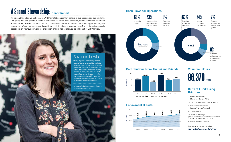| Cardon International Sponsorship Program<br>Global Management Center<br>[Kay and Yvonne Whitmore]<br>MBA Scholarships<br>On-Campus Internships<br>Professional Immersion Programs<br>Women in Business Initiative | <b>Business Career Center</b><br>(Steven and Georgia White) |
|-------------------------------------------------------------------------------------------------------------------------------------------------------------------------------------------------------------------|-------------------------------------------------------------|
|                                                                                                                                                                                                                   |                                                             |
|                                                                                                                                                                                                                   |                                                             |
|                                                                                                                                                                                                                   |                                                             |
|                                                                                                                                                                                                                   |                                                             |
|                                                                                                                                                                                                                   |                                                             |
|                                                                                                                                                                                                                   |                                                             |

# **96,370** total Volunteer Hours:

# Current Fundraising **Priorities**

# A Sacred Stewardship: Donor Report

Alumni and friends give selflessly to BYU Marriott because they believe in our mission and our students. This giving includes generous financial donations as well as invaluable time, talents, and other resources. Friends of BYU Marriott serve as mentors, sit on advisory boards, identify placement opportunities, and much more. We are careful stewards and treat each donation as a sacred trust. Our continued success is dependent on your support, and we are deeply grateful for all that you do on behalf of BYU Marriott.

# Contributions from Alumni and Friends



# Cash Flows for Operations



# Endowment Growth

## For more information, visit *marriottschool.byu.edu/giving*





# Suzanna Lewis

*"During my three week study abroad researching for a nonprofit organization, I reached a point where I was stuck and wanted to quit. But I realized this project wasn't about me; it was about helping farmers in India grow more and better crops. I kept going. It was a powerful aha moment that I wouldn't have had without the financial assistance provided by generous BYU Marriott donors."* 

Whitmore Global Management Center's study abroad participant